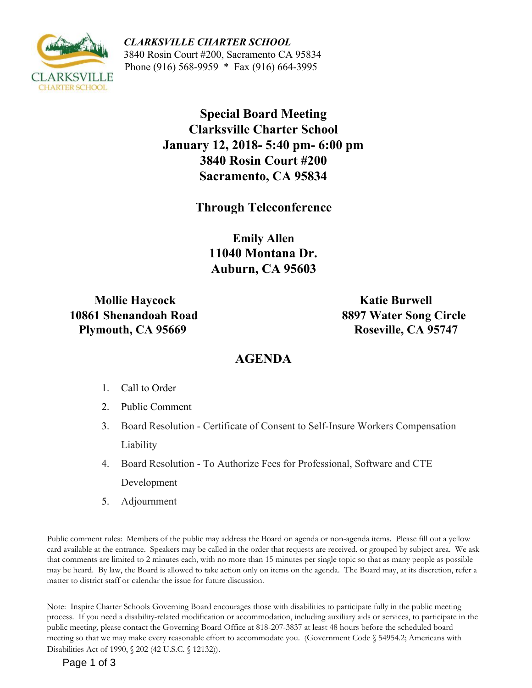

 *CLARKSVILLE CHARTER SCHOOL*  3840 Rosin Court #200, Sacramento CA 95834 Phone (916) 568-9959 \* Fax (916) 664-3995

> **Special Board Meeting Clarksville Charter School January 12, 2018- 5:40 pm- 6:00 pm 3840 Rosin Court #200 Sacramento, CA 95834**

> > **Through Teleconference**

**Emily Allen 11040 Montana Dr. Auburn, CA 95603** 

**10861 Shenandoah Road Plymouth, CA 95669** Roseville, CA 95747

 **Mollie Haycock Katie Burwell** 

# **AGENDA**

- 1. Call to Order
- 2. Public Comment
- 3. Board Resolution Certificate of Consent to Self-Insure Workers Compensation Liability
- 4. Board Resolution To Authorize Fees for Professional, Software and CTE Development
- 5. Adjournment

Public comment rules: Members of the public may address the Board on agenda or non-agenda items. Please fill out a yellow card available at the entrance. Speakers may be called in the order that requests are received, or grouped by subject area. We ask that comments are limited to 2 minutes each, with no more than 15 minutes per single topic so that as many people as possible may be heard. By law, the Board is allowed to take action only on items on the agenda. The Board may, at its discretion, refer a matter to district staff or calendar the issue for future discussion.

Note: Inspire Charter Schools Governing Board encourages those with disabilities to participate fully in the public meeting process. If you need a disability-related modification or accommodation, including auxiliary aids or services, to participate in the public meeting, please contact the Governing Board Office at 818-207-3837 at least 48 hours before the scheduled board meeting so that we may make every reasonable effort to accommodate you. (Government Code § 54954.2; Americans with Disabilities Act of 1990, § 202 (42 U.S.C. § 12132)).

Page 1 of 3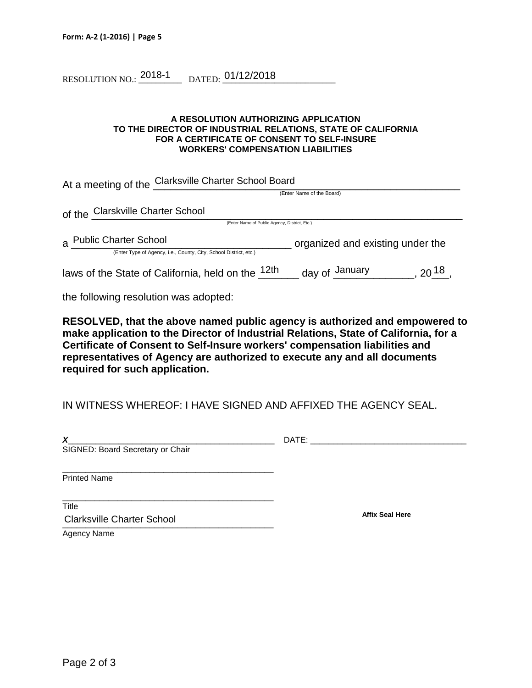RESOLUTION NO.:  $\frac{2018-1}{2018-1}$  dated:  $\frac{01/12/2018}{201/12}$ 

#### **A RESOLUTION AUTHORIZING APPLICATION TO THE DIRECTOR OF INDUSTRIAL RELATIONS, STATE OF CALIFORNIA FOR A CERTIFICATE OF CONSENT TO SELF-INSURE WORKERS' COMPENSATION LIABILITIES**

| At a meeting of the Clarksville Charter School Board              |                                  |  |
|-------------------------------------------------------------------|----------------------------------|--|
|                                                                   | (Enter Name of the Board)        |  |
| of the Clarskville Charter School                                 |                                  |  |
| (Enter Name of Public Agency, District, Etc.)                     |                                  |  |
| a Public Charter School                                           | organized and existing under the |  |
| (Enter Type of Agency, i.e., County, City, School District, etc.) |                                  |  |
| laws of the State of California, held on the <sup>12th</sup>      | day of January<br>$20^{18}$      |  |

the following resolution was adopted:

**RESOLVED, that the above named public agency is authorized and empowered to make application to the Director of Industrial Relations, State of California, for a Certificate of Consent to Self-Insure workers' compensation liabilities and representatives of Agency are authorized to execute any and all documents required for such application.**

IN WITNESS WHEREOF: I HAVE SIGNED AND AFFIXED THE AGENCY SEAL.

| X<br>SIGNED: Board Secretary or Chair      | DATE:                  |
|--------------------------------------------|------------------------|
| <b>Printed Name</b>                        |                        |
| Title<br><b>Clarksville Charter School</b> | <b>Affix Seal Here</b> |

Agency Name